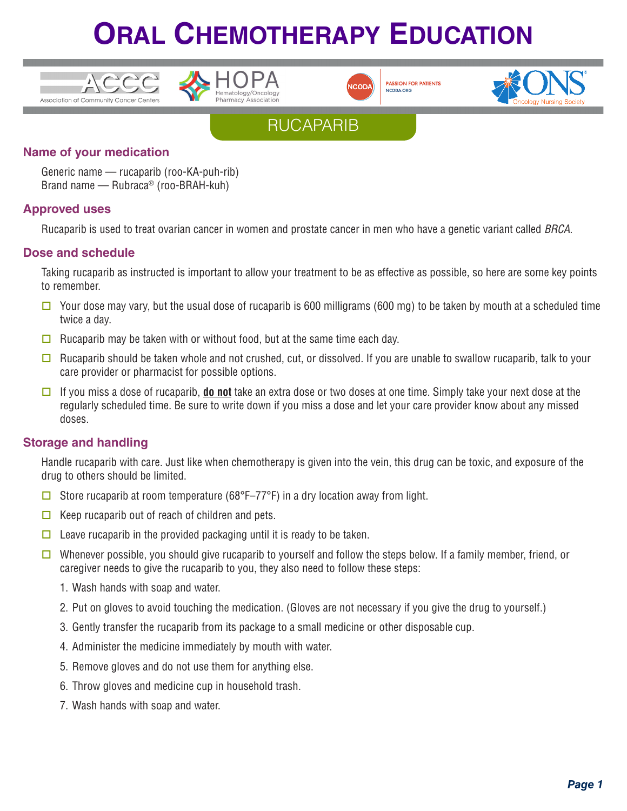









### **Name of your medication**

Generic name — rucaparib (roo-KA-puh-rib) Brand name — Rubraca® (roo-BRAH-kuh)

#### **Approved uses**

Rucaparib is used to treat ovarian cancer in women and prostate cancer in men who have a genetic variant called *BRCA*.

### **Dose and schedule**

Taking rucaparib as instructed is important to allow your treatment to be as effective as possible, so here are some key points to remember.

- $\Box$  Your dose may vary, but the usual dose of rucaparib is 600 milligrams (600 mg) to be taken by mouth at a scheduled time twice a day.
- $\Box$  Rucaparib may be taken with or without food, but at the same time each day.
- $\Box$  Rucaparib should be taken whole and not crushed, cut, or dissolved. If you are unable to swallow rucaparib, talk to your care provider or pharmacist for possible options.
- □ If you miss a dose of rucaparib, **do not** take an extra dose or two doses at one time. Simply take your next dose at the regularly scheduled time. Be sure to write down if you miss a dose and let your care provider know about any missed doses.

### **Storage and handling**

Handle rucaparib with care. Just like when chemotherapy is given into the vein, this drug can be toxic, and exposure of the drug to others should be limited.

- Store rucaparib at room temperature (68°F–77°F) in a dry location away from light.
- $\Box$  Keep rucaparib out of reach of children and pets.
- $\Box$  Leave rucaparib in the provided packaging until it is ready to be taken.
- Whenever possible, you should give rucaparib to yourself and follow the steps below. If a family member, friend, or caregiver needs to give the rucaparib to you, they also need to follow these steps:
	- 1. Wash hands with soap and water.
	- 2. Put on gloves to avoid touching the medication. (Gloves are not necessary if you give the drug to yourself.)
	- 3. Gently transfer the rucaparib from its package to a small medicine or other disposable cup.
	- 4. Administer the medicine immediately by mouth with water.
	- 5. Remove gloves and do not use them for anything else.
	- 6. Throw gloves and medicine cup in household trash.
	- 7. Wash hands with soap and water.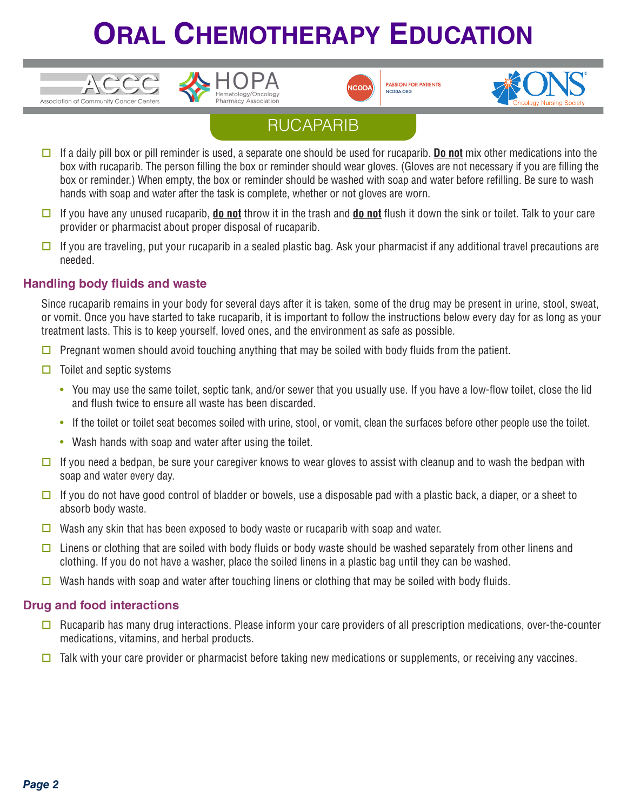



**PASSION FOR PATIENTS** NCODA.ORG



### RUCAPARIB

- $\Box$  If a daily pill box or pill reminder is used, a separate one should be used for rucaparib. **Do not** mix other medications into the box with rucaparib. The person filling the box or reminder should wear gloves. (Gloves are not necessary if you are filling the box or reminder.) When empty, the box or reminder should be washed with soap and water before refilling. Be sure to wash hands with soap and water after the task is complete, whether or not gloves are worn.
- $\Box$  If you have any unused rucaparib, **do not** throw it in the trash and **do not** flush it down the sink or toilet. Talk to your care provider or pharmacist about proper disposal of rucaparib.
- $\Box$  If you are traveling, put your rucaparib in a sealed plastic bag. Ask your pharmacist if any additional travel precautions are needed.

### **Handling body fluids and waste**

 $\frac{1}{2}$ 

Since rucaparib remains in your body for several days after it is taken, some of the drug may be present in urine, stool, sweat, or vomit. Once you have started to take rucaparib, it is important to follow the instructions below every day for as long as your treatment lasts. This is to keep yourself, loved ones, and the environment as safe as possible.

- $\Box$  Pregnant women should avoid touching anything that may be soiled with body fluids from the patient.
- $\Box$  Toilet and septic systems
	- You may use the same toilet, septic tank, and/or sewer that you usually use. If you have a low-flow toilet, close the lid and flush twice to ensure all waste has been discarded.
	- If the toilet or toilet seat becomes soiled with urine, stool, or vomit, clean the surfaces before other people use the toilet.
	- Wash hands with soap and water after using the toilet.
- $\square$  If you need a bedpan, be sure your caregiver knows to wear gloves to assist with cleanup and to wash the bedpan with soap and water every day.
- $\Box$  If you do not have good control of bladder or bowels, use a disposable pad with a plastic back, a diaper, or a sheet to absorb body waste.
- $\Box$  Wash any skin that has been exposed to body waste or rucaparib with soap and water.
- $\Box$  Linens or clothing that are soiled with body fluids or body waste should be washed separately from other linens and clothing. If you do not have a washer, place the soiled linens in a plastic bag until they can be washed.
- Wash hands with soap and water after touching linens or clothing that may be soiled with body fluids.

#### **Drug and food interactions**

- $\Box$  Rucaparib has many drug interactions. Please inform your care providers of all prescription medications, over-the-counter medications, vitamins, and herbal products.
- $\Box$  Talk with your care provider or pharmacist before taking new medications or supplements, or receiving any vaccines.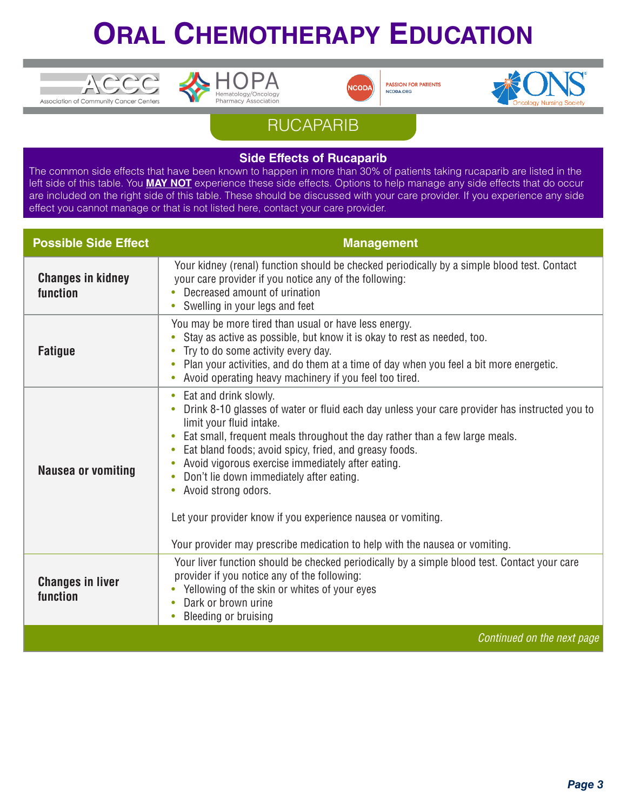





**PASSION FOR PATIENTS** NCODA.ORG



### RUCAPARIB

#### **Side Effects of Rucaparib**

The common side effects that have been known to happen in more than 30% of patients taking rucaparib are listed in the left side of this table. You **MAY NOT** experience these side effects. Options to help manage any side effects that do occur are included on the right side of this table. These should be discussed with your care provider. If you experience any side effect you cannot manage or that is not listed here, contact your care provider.

| <b>Possible Side Effect</b>          | <b>Management</b>                                                                                                                                                                                                                                                                                                                                                                                                                                                                                                                                                                                                                        |
|--------------------------------------|------------------------------------------------------------------------------------------------------------------------------------------------------------------------------------------------------------------------------------------------------------------------------------------------------------------------------------------------------------------------------------------------------------------------------------------------------------------------------------------------------------------------------------------------------------------------------------------------------------------------------------------|
| <b>Changes in kidney</b><br>function | Your kidney (renal) function should be checked periodically by a simple blood test. Contact<br>your care provider if you notice any of the following:<br>Decreased amount of urination<br>$\bullet$<br>Swelling in your legs and feet<br>$\bullet$                                                                                                                                                                                                                                                                                                                                                                                       |
| <b>Fatigue</b>                       | You may be more tired than usual or have less energy.<br>Stay as active as possible, but know it is okay to rest as needed, too.<br>$\bullet$<br>Try to do some activity every day.<br>Plan your activities, and do them at a time of day when you feel a bit more energetic.<br>$\bullet$<br>Avoid operating heavy machinery if you feel too tired.<br>$\bullet$                                                                                                                                                                                                                                                                        |
| <b>Nausea or vomiting</b>            | Eat and drink slowly.<br>۰<br>Drink 8-10 glasses of water or fluid each day unless your care provider has instructed you to<br>$\bullet$<br>limit your fluid intake.<br>Eat small, frequent meals throughout the day rather than a few large meals.<br>$\bullet$<br>Eat bland foods; avoid spicy, fried, and greasy foods.<br>$\bullet$<br>Avoid vigorous exercise immediately after eating.<br>$\bullet$<br>Don't lie down immediately after eating.<br>Avoid strong odors.<br>$\bullet$<br>Let your provider know if you experience nausea or vomiting.<br>Your provider may prescribe medication to help with the nausea or vomiting. |
| <b>Changes in liver</b><br>function  | Your liver function should be checked periodically by a simple blood test. Contact your care<br>provider if you notice any of the following:<br>Yellowing of the skin or whites of your eyes<br>Dark or brown urine<br>$\bullet$<br>Bleeding or bruising<br>$\bullet$                                                                                                                                                                                                                                                                                                                                                                    |
|                                      | Continued on the next page                                                                                                                                                                                                                                                                                                                                                                                                                                                                                                                                                                                                               |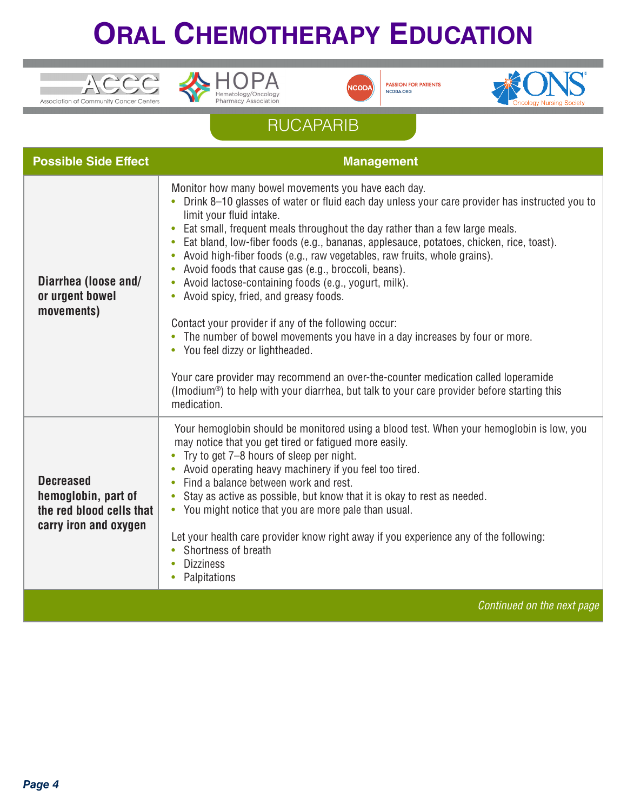





**PASSION FOR PATIENTS** NCODA.ORG



## RUCAPARIB

| <b>Possible Side Effect</b>                                                                  | <b>Management</b>                                                                                                                                                                                                                                                                                                                                                                                                                                                                                                                                                                                                                                                                                                                                                                                                                                                                                                                                                                                              |
|----------------------------------------------------------------------------------------------|----------------------------------------------------------------------------------------------------------------------------------------------------------------------------------------------------------------------------------------------------------------------------------------------------------------------------------------------------------------------------------------------------------------------------------------------------------------------------------------------------------------------------------------------------------------------------------------------------------------------------------------------------------------------------------------------------------------------------------------------------------------------------------------------------------------------------------------------------------------------------------------------------------------------------------------------------------------------------------------------------------------|
| Diarrhea (loose and/<br>or urgent bowel<br>movements)                                        | Monitor how many bowel movements you have each day.<br>Drink 8-10 glasses of water or fluid each day unless your care provider has instructed you to<br>limit your fluid intake.<br>• Eat small, frequent meals throughout the day rather than a few large meals.<br>• Eat bland, low-fiber foods (e.g., bananas, applesauce, potatoes, chicken, rice, toast).<br>• Avoid high-fiber foods (e.g., raw vegetables, raw fruits, whole grains).<br>Avoid foods that cause gas (e.g., broccoli, beans).<br>• Avoid lactose-containing foods (e.g., yogurt, milk).<br>Avoid spicy, fried, and greasy foods.<br>$\bullet$<br>Contact your provider if any of the following occur:<br>• The number of bowel movements you have in a day increases by four or more.<br>• You feel dizzy or lightheaded.<br>Your care provider may recommend an over-the-counter medication called loperamide<br>(Imodium <sup>®</sup> ) to help with your diarrhea, but talk to your care provider before starting this<br>medication. |
| <b>Decreased</b><br>hemoglobin, part of<br>the red blood cells that<br>carry iron and oxygen | Your hemoglobin should be monitored using a blood test. When your hemoglobin is low, you<br>may notice that you get tired or fatigued more easily.<br>• Try to get 7-8 hours of sleep per night.<br>Avoid operating heavy machinery if you feel too tired.<br>• Find a balance between work and rest.<br>Stay as active as possible, but know that it is okay to rest as needed.<br>$\bullet$<br>• You might notice that you are more pale than usual.<br>Let your health care provider know right away if you experience any of the following:<br>• Shortness of breath<br><b>Dizziness</b><br>Palpitations                                                                                                                                                                                                                                                                                                                                                                                                   |
|                                                                                              | Continued on the next page                                                                                                                                                                                                                                                                                                                                                                                                                                                                                                                                                                                                                                                                                                                                                                                                                                                                                                                                                                                     |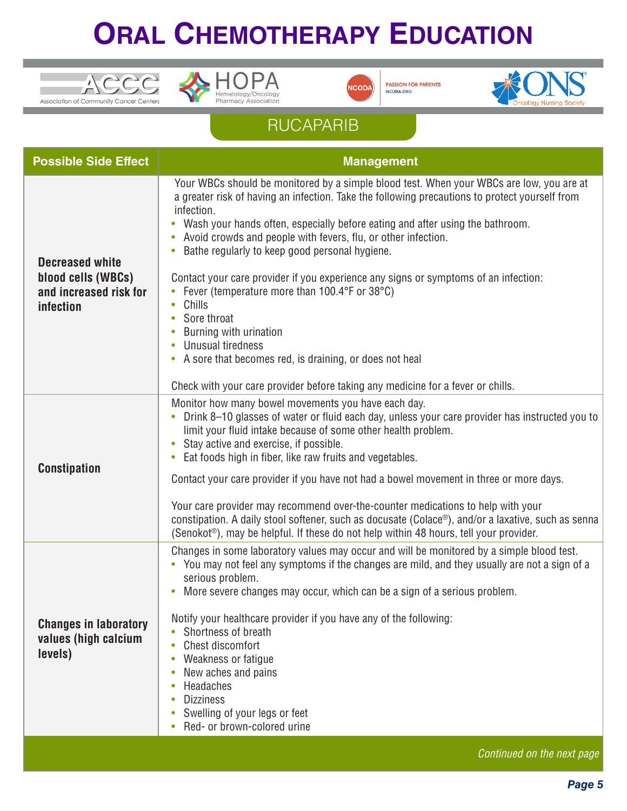





**PASSION FOR PATIENTS** NCODA.ORG



## RUCAPARIB

| <b>Possible Side Effect</b>                                                                | <b>Management</b>                                                                                                                                                                                                                                                                                                                                                                                                                                                                                                                                                                                                                                                                                                                                                                                                  |
|--------------------------------------------------------------------------------------------|--------------------------------------------------------------------------------------------------------------------------------------------------------------------------------------------------------------------------------------------------------------------------------------------------------------------------------------------------------------------------------------------------------------------------------------------------------------------------------------------------------------------------------------------------------------------------------------------------------------------------------------------------------------------------------------------------------------------------------------------------------------------------------------------------------------------|
| <b>Decreased white</b><br>blood cells (WBCs)<br>and increased risk for<br><i>infection</i> | Your WBCs should be monitored by a simple blood test. When your WBCs are low, you are at<br>a greater risk of having an infection. Take the following precautions to protect yourself from<br>infection.<br>Wash your hands often, especially before eating and after using the bathroom.<br>$\bullet$<br>Avoid crowds and people with fevers, flu, or other infection.<br>$\bullet$<br>Bathe regularly to keep good personal hygiene.<br>Contact your care provider if you experience any signs or symptoms of an infection:<br>Fever (temperature more than 100.4°F or 38°C)<br>Chills<br>Sore throat<br>Burning with urination<br>Unusual tiredness<br>$\bullet$<br>• A sore that becomes red, is draining, or does not heal<br>Check with your care provider before taking any medicine for a fever or chills. |
| <b>Constipation</b>                                                                        | Monitor how many bowel movements you have each day.<br>Drink 8-10 glasses of water or fluid each day, unless your care provider has instructed you to<br>$\bullet$<br>limit your fluid intake because of some other health problem.<br>Stay active and exercise, if possible.<br>$\bullet$<br>Eat foods high in fiber, like raw fruits and vegetables.<br>$\bullet$<br>Contact your care provider if you have not had a bowel movement in three or more days.<br>Your care provider may recommend over-the-counter medications to help with your<br>constipation. A daily stool softener, such as docusate (Colace®), and/or a laxative, such as senna<br>(Senokot <sup>®</sup> ), may be helpful. If these do not help within 48 hours, tell your provider.                                                       |
| <b>Changes in laboratory</b><br>values (high calcium<br>levels)                            | Changes in some laboratory values may occur and will be monitored by a simple blood test.<br>• You may not feel any symptoms if the changes are mild, and they usually are not a sign of a<br>serious problem.<br>More severe changes may occur, which can be a sign of a serious problem.<br>Notify your healthcare provider if you have any of the following:<br>Shortness of breath<br>Chest discomfort<br>$\bullet$<br>Weakness or fatigue<br>$\bullet$<br>New aches and pains<br>$\bullet$<br>Headaches<br>$\bullet$<br><b>Dizziness</b><br>$\bullet$<br>Swelling of your legs or feet<br>Red- or brown-colored urine<br>$\bullet$                                                                                                                                                                            |
|                                                                                            | Continued on the next page                                                                                                                                                                                                                                                                                                                                                                                                                                                                                                                                                                                                                                                                                                                                                                                         |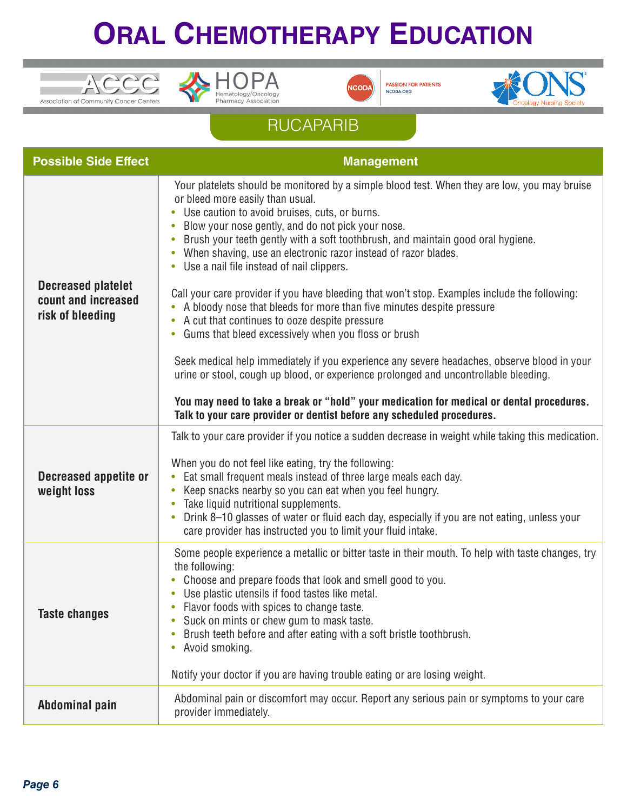





**PASSION FOR PATIENTS** NCODA.ORG



## RUCAPARIB

| <b>Possible Side Effect</b>                                          | <b>Management</b>                                                                                                                                                                                                                                                                                                                                                                                                                                                                                                               |
|----------------------------------------------------------------------|---------------------------------------------------------------------------------------------------------------------------------------------------------------------------------------------------------------------------------------------------------------------------------------------------------------------------------------------------------------------------------------------------------------------------------------------------------------------------------------------------------------------------------|
| <b>Decreased platelet</b><br>count and increased<br>risk of bleeding | Your platelets should be monitored by a simple blood test. When they are low, you may bruise<br>or bleed more easily than usual.<br>Use caution to avoid bruises, cuts, or burns.<br>Blow your nose gently, and do not pick your nose.<br>Brush your teeth gently with a soft toothbrush, and maintain good oral hygiene.<br>When shaving, use an electronic razor instead of razor blades.<br>Use a nail file instead of nail clippers.<br>$\bullet$                                                                           |
|                                                                      | Call your care provider if you have bleeding that won't stop. Examples include the following:<br>A bloody nose that bleeds for more than five minutes despite pressure<br>$\bullet$<br>A cut that continues to ooze despite pressure<br>$\bullet$<br>Gums that bleed excessively when you floss or brush<br>$\bullet$                                                                                                                                                                                                           |
|                                                                      | Seek medical help immediately if you experience any severe headaches, observe blood in your<br>urine or stool, cough up blood, or experience prolonged and uncontrollable bleeding.<br>You may need to take a break or "hold" your medication for medical or dental procedures.                                                                                                                                                                                                                                                 |
|                                                                      | Talk to your care provider or dentist before any scheduled procedures.                                                                                                                                                                                                                                                                                                                                                                                                                                                          |
| <b>Decreased appetite or</b><br>weight loss                          | Talk to your care provider if you notice a sudden decrease in weight while taking this medication.<br>When you do not feel like eating, try the following:<br>Eat small frequent meals instead of three large meals each day.<br>Keep snacks nearby so you can eat when you feel hungry.<br>۰<br>Take liquid nutritional supplements.<br>$\bullet$<br>Drink 8-10 glasses of water or fluid each day, especially if you are not eating, unless your<br>$\bullet$<br>care provider has instructed you to limit your fluid intake. |
| <b>Taste changes</b>                                                 | Some people experience a metallic or bitter taste in their mouth. To help with taste changes, try<br>the following:<br>Choose and prepare foods that look and smell good to you.<br>$\bullet$<br>Use plastic utensils if food tastes like metal.<br>Flavor foods with spices to change taste.<br>Suck on mints or chew gum to mask taste.<br>Brush teeth before and after eating with a soft bristle toothbrush.<br>Avoid smoking.<br>$\bullet$<br>Notify your doctor if you are having trouble eating or are losing weight.    |
| Abdominal pain                                                       | Abdominal pain or discomfort may occur. Report any serious pain or symptoms to your care<br>provider immediately.                                                                                                                                                                                                                                                                                                                                                                                                               |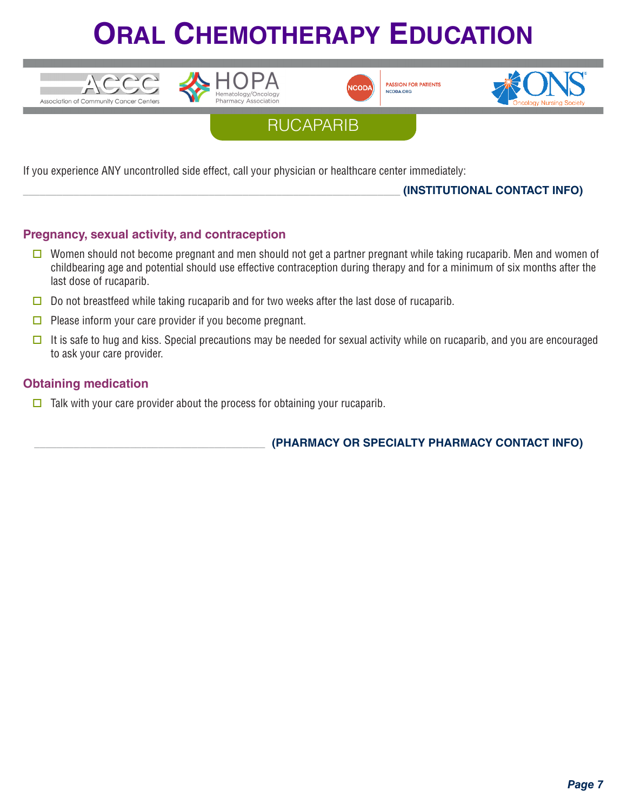









If you experience ANY uncontrolled side effect, call your physician or healthcare center immediately:

\_\_\_\_\_\_\_\_\_\_\_\_\_\_\_\_\_\_\_\_\_\_\_\_\_\_\_\_\_\_\_\_\_\_\_\_\_\_\_\_\_\_\_\_\_\_\_\_\_\_\_\_\_\_\_\_\_\_\_\_\_\_\_\_\_\_\_ **(INSTITUTIONAL CONTACT INFO)**

### **Pregnancy, sexual activity, and contraception**

- **O** Women should not become pregnant and men should not get a partner pregnant while taking rucaparib. Men and women of childbearing age and potential should use effective contraception during therapy and for a minimum of six months after the last dose of rucaparib.
- $\Box$  Do not breastfeed while taking rucaparib and for two weeks after the last dose of rucaparib.
- $\Box$  Please inform your care provider if you become pregnant.
- It is safe to hug and kiss. Special precautions may be needed for sexual activity while on rucaparib, and you are encouraged to ask your care provider.

### **Obtaining medication**

 $\Box$  Talk with your care provider about the process for obtaining your rucaparib.

\_\_\_\_\_\_\_\_\_\_\_\_\_\_\_\_\_\_\_\_\_\_\_\_\_\_\_\_\_\_\_\_\_\_\_\_\_\_\_\_\_ **(PHARMACY OR SPECIALTY PHARMACY CONTACT INFO)**